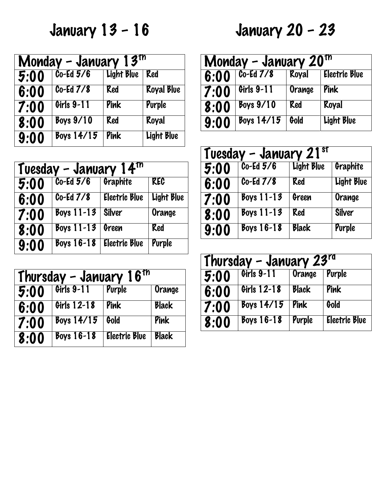January 13 – 16

| Monday - January $13th$ |              |            |                   |
|-------------------------|--------------|------------|-------------------|
| 5:00                    | $Co-Ed\,5/6$ | Light Blue | Red               |
| 6:00                    | $Co-Ed7/8$   | Red        | <b>Royal Blue</b> |
| 7:00                    | Girls 9-11   | Pink       | Purple            |
| 8:00                    | $Boys$ 9/10  | Red        | Royal             |
| 9:00                    | Boys $14/15$ | Pink       | <b>Light Blue</b> |

| Tuesday - January 14 $tn$ |                            |                      |            |
|---------------------------|----------------------------|----------------------|------------|
| 5:00                      | $Co-Ed5/6$                 | Graphite             | <b>KEC</b> |
| 6:00                      | $\overline{C_0}$ -Ed $7/8$ | <b>Electric Blue</b> | Light Blue |
| 7:00                      | Boys $11-13$               | <b>Silver</b>        | Orange     |
| 8:00                      | Boys $11-13$               | Green                | Red        |
| 9:00                      | Boys $16-18$               | <b>Electric Blue</b> | Purple     |

| Thursday - January $16th$ |              |                      |              |
|---------------------------|--------------|----------------------|--------------|
| 5:00                      | Girls 9-11   | Purple               | Orange       |
| 6:00                      | Girls 12-18  | Pink                 | <b>Black</b> |
| 7:00                      | Boys $14/15$ | Gold                 | Pink         |
| 8:00                      | Boys $16-18$ | <b>Electric Blue</b> | <b>Black</b> |

## January 20 – 23

| Monday - January $20th$ |                         |        |                      |  |
|-------------------------|-------------------------|--------|----------------------|--|
| 6:00                    | $Co-Ed$ $7/8$           | Royal  | <b>Electric Blue</b> |  |
| 7:00                    | Girls 9-11              | Orange | Pink                 |  |
| 8:00                    | Boys $9/10$             | Red    | Royal                |  |
| 9:00                    | Boys $14/\overline{15}$ | Gold   | <b>Light Blue</b>    |  |

| Tuesday - January 21 $\frac{st}{s}$ |                          |              |            |  |
|-------------------------------------|--------------------------|--------------|------------|--|
| 5:00                                | $\overline{C_0-Ed\,5/6}$ | Light Blue   | Graphite   |  |
| 6:00                                | $Co-Ed$ $7/8$            | Red          | Light Blue |  |
| 7:00                                | Boys $11-13$             | Green        | Orange     |  |
| 8:00                                | Boys $11-13$             | Red          | Silver     |  |
| 9:00                                | Boys $16-18$             | <b>Black</b> | Purple     |  |

| Thursday - January $23^{rd}$ |              |              |                      |  |
|------------------------------|--------------|--------------|----------------------|--|
| 5:00                         | Girls 9-11   | Orange       | Purple               |  |
| 6:00                         | Girls 12-18  | <b>Black</b> | Pink                 |  |
| 7:00                         | Boys $14/15$ | Pink         | Gold                 |  |
| 8:00                         | Boys $16-18$ | Purple       | <b>Electric Blue</b> |  |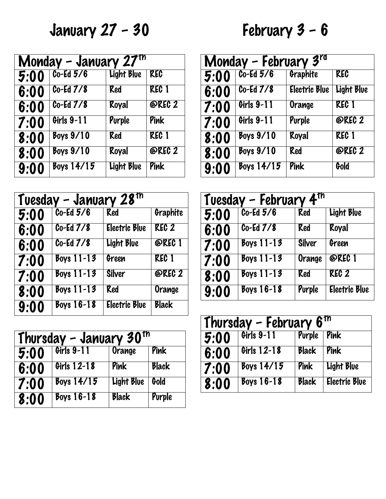January 27 – 30

## February 3 – 6

| Monday - January $27th$ |               |            |              |  |
|-------------------------|---------------|------------|--------------|--|
| $\overline{5:}00$       | $Co-Ed$ $5/6$ | Light Blue | <b>REC</b>   |  |
| 6:00                    | $Co-Ed$ $7/8$ | Red        | <b>REC 1</b> |  |
| 6:00                    | $Co-Ed7/8$    | Royal      | @REC 2       |  |
| 7:00                    | Girls 9-11    | Purple     | Pink         |  |
| 8:00                    | $Bovs$ 9/10   | Red        | <b>REC 1</b> |  |
| 8:00                    | $Boys$ 9/10   | Royal      | @REC 2       |  |
| 9:00                    | Boys $14/15$  | Light Blue | Pink         |  |

| Tuesday - January 28 <sup>th</sup> |               |                      |              |  |
|------------------------------------|---------------|----------------------|--------------|--|
| 5:00                               | $Co-Ed\,5/6$  | <b>Red</b>           | Graphite     |  |
| 6:00                               | Co-Ed 7/8     | <b>Electric Blue</b> | <b>REC 2</b> |  |
| 6:00                               | $Co-Ed$ $7/8$ | Light Blue           | @REC 1       |  |
| 7:00                               | Boys $11-13$  | Green                | <b>REC 1</b> |  |
| 7:00                               | Boys $11-13$  | <b>Silver</b>        | @REC 2       |  |
| 8:00                               | Boys $11-13$  | Red                  | Orange       |  |
| 9:00                               | Boys $16-18$  | <b>Electric Blue</b> | <b>Black</b> |  |

| Thursday - January 30 $^{\sf{th}}$ |              |              |              |
|------------------------------------|--------------|--------------|--------------|
| 5:00                               | Girls 9-11   | Orange       | Pink         |
| 6:00                               | Girls 12-18  | Pink         | <b>Black</b> |
| 7:00                               | Boys $14/15$ | Light Blue   | Gold         |
| 8:00                               | Boys $16-18$ | <b>Black</b> | Purple       |

| Monday - February $3^{\overline{r}\overline{d}}$ |                  |                      |                   |
|--------------------------------------------------|------------------|----------------------|-------------------|
| 5:00                                             | $Co-Ed\,5/6$     | Graphite             | <b>KEC</b>        |
| 6:00                                             | $Co-Ed$ $7/8$    | <b>Electric Blue</b> | <b>Light Blue</b> |
| 7:00                                             | Girls 9-11       | <b>Orange</b>        | REC 1             |
| 7:00                                             | Girls 9-11       | Purple               | <b>@REC 2</b>     |
| 8:00                                             | $Bovs$ 9/10      | Royal                | <b>REC 1</b>      |
| 8:00                                             | <b>Boys 9/10</b> | Red                  | <b>@REC 2</b>     |
| 9:00                                             | Boys $14/15$     | Pink                 | Gold              |

| Tuesday - February $4th$ |                   |               |                      |  |
|--------------------------|-------------------|---------------|----------------------|--|
| 5:00                     | $Co-Ed\,5/6$      | Red           | Light Blue           |  |
| 6:00                     | $Co-Ed$ $7/8$     | Red           | Royal                |  |
| 7:00                     | Boys $11-13$      | <b>Silver</b> | Green                |  |
| 7:00                     | Boys $11-13$      | Orange        | @REC 1               |  |
| 8:00                     | Boys $11-13$      | Red           | REC <sub>2</sub>     |  |
| 9:00                     | <b>Boys 16-18</b> | Purple        | <b>Electric Blue</b> |  |

| Thursday - February $\overline{6}^{\text{th}}$ |              |              |                      |  |
|------------------------------------------------|--------------|--------------|----------------------|--|
| 5:00                                           | Girls 9-11   | Purple Pink  |                      |  |
| 6:00                                           | Girls 12-18  | Black        | Pink                 |  |
| 7:00                                           | Boys $14/15$ | Pink         | Light Blue           |  |
| 8:00                                           | Boys $16-18$ | <b>Black</b> | <b>Electric Blue</b> |  |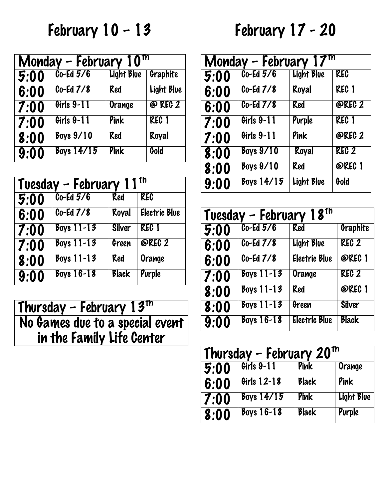February 10 – 13

| Monday - February $10^{17}$ |               |                   |              |
|-----------------------------|---------------|-------------------|--------------|
| 5:00                        | $Co-Ed\,5/6$  | <b>Light Blue</b> | Graphite     |
| 6:00                        | $Co-Ed$ $7/8$ | Red               | Light Blue   |
| 7:00                        | Girls 9-11    | Orange            | @ REC 2      |
| 7:00                        | Girls 9-11    | Pink              | <b>REC 1</b> |
| 8:00                        | $Bovs$ 9/10   | Red               | Royal        |
| 9:00                        | Boys $14/15$  | Pink              | Gold         |

| Tuesday - February 11 |               |               |                      |
|-----------------------|---------------|---------------|----------------------|
| $\overline{5:}00$     | $Co-Ed\,5/6$  | Red           | <b>KEC</b>           |
| 6:00                  | $Co-Ed$ $7/8$ | Royal         | <b>Electric Blue</b> |
| 7:00                  | Boys $11-13$  | <b>Silver</b> | <b>REC 1</b>         |
| 7:00                  | Boys $11-13$  | Green         | @REC 2               |
| 8:00                  | Boys $11-13$  | Red           | Orange               |
| 9:00                  | Boys $16-18$  | <b>Black</b>  | Purple               |

Thursday – February 13th No Games due to a special event in the Family Life Center

## February 17 - 20

| Monday - February $17th$ |               |            |                  |  |
|--------------------------|---------------|------------|------------------|--|
| 5:00                     | $Co-Ed\,5/6$  | Light Blue | KEC              |  |
| 6:00                     | $Co-Ed$ $7/8$ | Royal      | REC 1            |  |
| 6:00                     | $Co-Ed7/8$    | Red        | @REC 2           |  |
| 7:00                     | Girls 9-11    | Purple     | <b>REC 1</b>     |  |
| 7:00                     | Girls 9-11    | Pink       | @REC 2           |  |
| 8:00                     | $Boys$ 9/10   | Royal      | REC <sub>2</sub> |  |
| 8:00                     | $Bovs$ 9/10   | Red        | @REC 1           |  |
| 9:00                     | Boys $14/15$  | Light Blue | Gold             |  |

| Tuesday - February $18th$ |                         |                      |                  |  |
|---------------------------|-------------------------|----------------------|------------------|--|
| 5:00                      | $Co-Ed\,5/6$            | Red                  | Graphite         |  |
| 6:00                      | $\overline{C_0-E}d$ 7/8 | <b>Light Blue</b>    | REC <sub>2</sub> |  |
| 6:00                      | $Co-Ed$ $7/8$           | <b>Electric Blue</b> | @REC 1           |  |
| 7:00                      | Boys $11-13$            | Orange               | REC <sub>2</sub> |  |
| 8:00                      | Boys $11-13$            | Red                  | @REC 1           |  |
| 8:00                      | Boys $11-13$            | Green                | <b>Silver</b>    |  |
| 9:00                      | Boys $16-18$            | <b>Electric Blue</b> | Black            |  |

| Thursday - February $20^{\text{th}}$ |              |              |            |
|--------------------------------------|--------------|--------------|------------|
| 5:00                                 | Girls 9-11   | Pink         | Orange     |
| 6:00                                 | Girls 12-18  | <b>Black</b> | Pink       |
| 7:00                                 | Boys $14/15$ | Pink         | Light Blue |
| 8:00                                 | Boys $16-18$ | <b>Black</b> | Purple     |